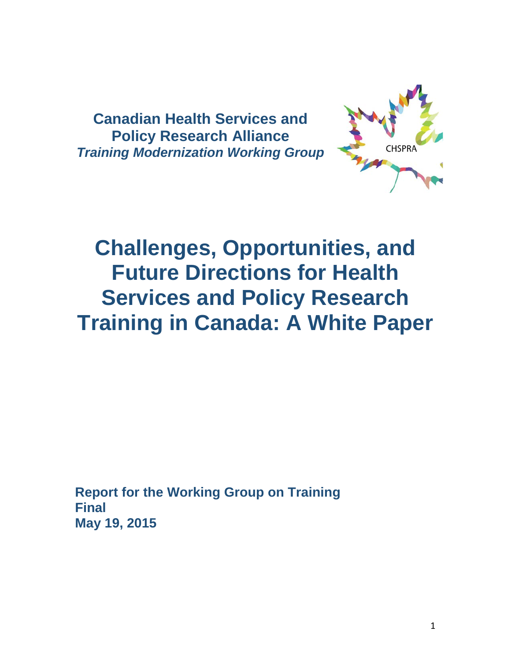**Canadian Health Services and Policy Research Alliance** *Training Modernization Working Group*



# **Challenges, Opportunities, and Future Directions for Health Services and Policy Research Training in Canada: A White Paper**

**Report for the Working Group on Training Final May 19, 2015**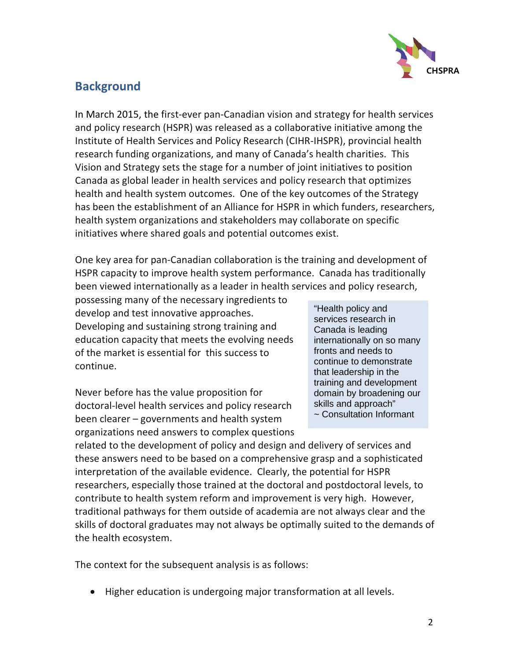

# **Background**

In March 2015, the first-ever pan-Canadian vision and strategy for health services and policy research (HSPR) was released as a collaborative initiative among the Institute of Health Services and Policy Research (CIHR-IHSPR), provincial health research funding organizations, and many of Canada's health charities. This Vision and Strategy sets the stage for a number of joint initiatives to position Canada as global leader in health services and policy research that optimizes health and health system outcomes. One of the key outcomes of the Strategy has been the establishment of an Alliance for HSPR in which funders, researchers, health system organizations and stakeholders may collaborate on specific initiatives where shared goals and potential outcomes exist.

One key area for pan-Canadian collaboration is the training and development of HSPR capacity to improve health system performance. Canada has traditionally been viewed internationally as a leader in health services and policy research,

possessing many of the necessary ingredients to develop and test innovative approaches. Developing and sustaining strong training and education capacity that meets the evolving needs of the market is essential for this success to continue.

Never before has the value proposition for doctoral-level health services and policy research been clearer – governments and health system organizations need answers to complex questions "Health policy and services research in Canada is leading internationally on so many fronts and needs to continue to demonstrate that leadership in the training and development domain by broadening our skills and approach" ~ Consultation Informant

related to the development of policy and design and delivery of services and these answers need to be based on a comprehensive grasp and a sophisticated interpretation of the available evidence. Clearly, the potential for HSPR researchers, especially those trained at the doctoral and postdoctoral levels, to contribute to health system reform and improvement is very high. However, traditional pathways for them outside of academia are not always clear and the skills of doctoral graduates may not always be optimally suited to the demands of the health ecosystem.

The context for the subsequent analysis is as follows:

• Higher education is undergoing major transformation at all levels.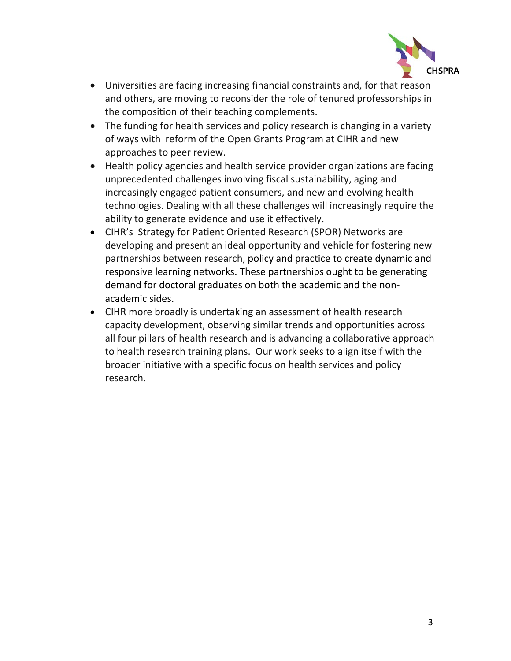

- Universities are facing increasing financial constraints and, for that reason and others, are moving to reconsider the role of tenured professorships in the composition of their teaching complements.
- The funding for health services and policy research is changing in a variety of ways with reform of the Open Grants Program at CIHR and new approaches to peer review.
- Health policy agencies and health service provider organizations are facing unprecedented challenges involving fiscal sustainability, aging and increasingly engaged patient consumers, and new and evolving health technologies. Dealing with all these challenges will increasingly require the ability to generate evidence and use it effectively.
- CIHR's Strategy for Patient Oriented Research (SPOR) Networks are developing and present an ideal opportunity and vehicle for fostering new partnerships between research, policy and practice to create dynamic and responsive learning networks. These partnerships ought to be generating demand for doctoral graduates on both the academic and the nonacademic sides.
- CIHR more broadly is undertaking an assessment of health research capacity development, observing similar trends and opportunities across all four pillars of health research and is advancing a collaborative approach to health research training plans. Our work seeks to align itself with the broader initiative with a specific focus on health services and policy research.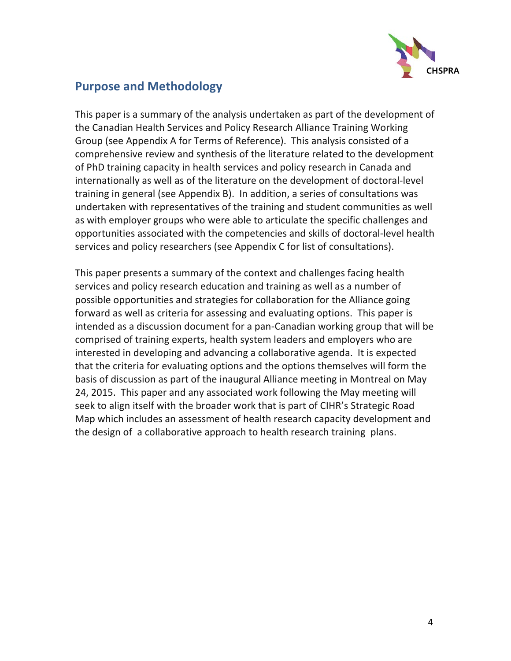

## **Purpose and Methodology**

This paper is a summary of the analysis undertaken as part of the development of the Canadian Health Services and Policy Research Alliance Training Working Group (see Appendix A for Terms of Reference). This analysis consisted of a comprehensive review and synthesis of the literature related to the development of PhD training capacity in health services and policy research in Canada and internationally as well as of the literature on the development of doctoral-level training in general (see Appendix B). In addition, a series of consultations was undertaken with representatives of the training and student communities as well as with employer groups who were able to articulate the specific challenges and opportunities associated with the competencies and skills of doctoral-level health services and policy researchers (see Appendix C for list of consultations).

This paper presents a summary of the context and challenges facing health services and policy research education and training as well as a number of possible opportunities and strategies for collaboration for the Alliance going forward as well as criteria for assessing and evaluating options. This paper is intended as a discussion document for a pan-Canadian working group that will be comprised of training experts, health system leaders and employers who are interested in developing and advancing a collaborative agenda. It is expected that the criteria for evaluating options and the options themselves will form the basis of discussion as part of the inaugural Alliance meeting in Montreal on May 24, 2015. This paper and any associated work following the May meeting will seek to align itself with the broader work that is part of CIHR's Strategic Road Map which includes an assessment of health research capacity development and the design of a collaborative approach to health research training plans.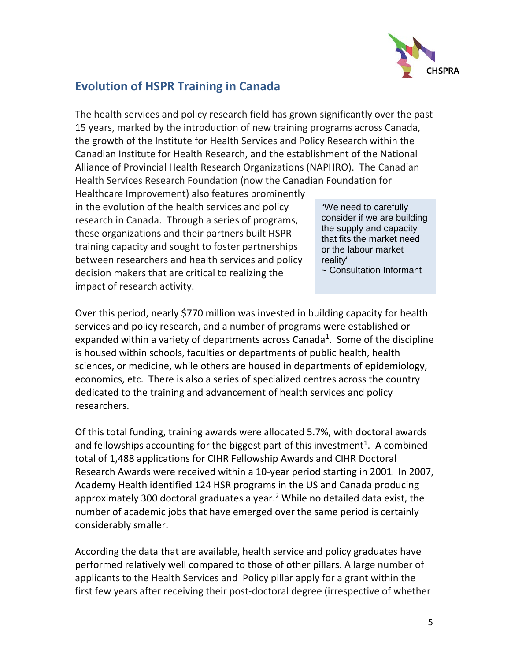

# **Evolution of HSPR Training in Canada**

The health services and policy research field has grown significantly over the past 15 years, marked by the introduction of new training programs across Canada, the growth of the Institute for Health Services and Policy Research within the Canadian Institute for Health Research, and the establishment of the National Alliance of Provincial Health Research Organizations (NAPHRO). The Canadian Health Services Research Foundation (now the Canadian Foundation for

Healthcare Improvement) also features prominently in the evolution of the health services and policy research in Canada. Through a series of programs, these organizations and their partners built HSPR training capacity and sought to foster partnerships between researchers and health services and policy decision makers that are critical to realizing the impact of research activity.

"We need to carefully consider if we are building the supply and capacity that fits the market need or the labour market reality"

~ Consultation Informant

Over this period, nearly \$770 million was invested in building capacity for health services and policy research, and a number of programs were established or expanded within a variety of departments across Canada<sup>[1](#page-14-0)</sup>. Some of the discipline is housed within schools, faculties or departments of public health, health sciences, or medicine, while others are housed in departments of epidemiology, economics, etc. There is also a series of specialized centres across the country dedicated to the training and advancement of health services and policy researchers.

Of this total funding, training awards were allocated 5.7%, with doctoral awards and fellowships accounting for the biggest part of this investment<sup>[1](#page-14-0)</sup>. A combined total of 1,488 applications for CIHR Fellowship Awards and CIHR Doctoral Research Awards were received within a 10-year period starting in 2001. In 2007, Academy Health identified 124 HSR programs in the US and Canada producing approximately 300 doctoral graduates a year. [2](#page-14-1) While no detailed data exist, the number of academic jobs that have emerged over the same period is certainly considerably smaller.

According the data that are available, health service and policy graduates have performed relatively well compared to those of other pillars. A large number of applicants to the Health Services and Policy pillar apply for a grant within the first few years after receiving their post-doctoral degree (irrespective of whether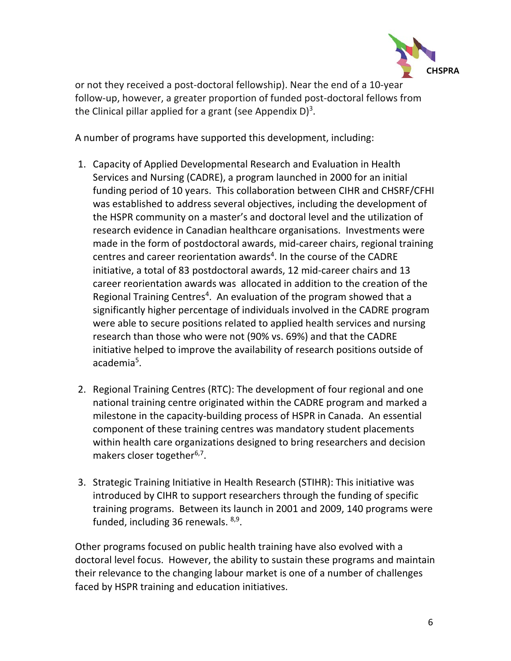

or not they received a post-doctoral fellowship). Near the end of a 10-year follow-up, however, a greater proportion of funded post-doctoral fellows from the Clinical pillar applied for a grant (see Appendix D)<sup>[3](#page-14-2)</sup>.

A number of programs have supported this development, including:

- 1. Capacity of Applied Developmental Research and Evaluation in Health Services and Nursing (CADRE), a program launched in 2000 for an initial funding period of 10 years. This collaboration between CIHR and CHSRF/CFHI was established to address several objectives, including the development of the HSPR community on a master's and doctoral level and the utilization of research evidence in Canadian healthcare organisations. Investments were made in the form of postdoctoral awards, mid-career chairs, regional training centres and career reorientation awards<sup>[4](#page-14-3)</sup>. In the course of the CADRE initiative, a total of 83 postdoctoral awards, 12 mid-career chairs and 13 career reorientation awards was allocated in addition to the creation of the Regional Training Centres<sup>[4](#page-14-3)</sup>. An evaluation of the program showed that a significantly higher percentage of individuals involved in the CADRE program were able to secure positions related to applied health services and nursing research than those who were not (90% vs. 69%) and that the CADRE initiative helped to improve the availability of research positions outside of academia<sup>[5](#page-14-4)</sup>.
- 2. Regional Training Centres (RTC): The development of four regional and one national training centre originated within the CADRE program and marked a milestone in the capacity-building process of HSPR in Canada. An essential component of these training centres was mandatory student placements within health care organizations designed to bring researchers and decision makers closer together<sup>[6,](#page-14-5)[7](#page-14-6)</sup>.
- 3. Strategic Training Initiative in Health Research (STIHR): This initiative was introduced by CIHR to support researchers through the funding of specific training programs. Between its launch in 2001 and 2009, 140 programs were funded, including 36 renewals. <sup>8,[9](#page-14-8)</sup>.

Other programs focused on public health training have also evolved with a doctoral level focus. However, the ability to sustain these programs and maintain their relevance to the changing labour market is one of a number of challenges faced by HSPR training and education initiatives.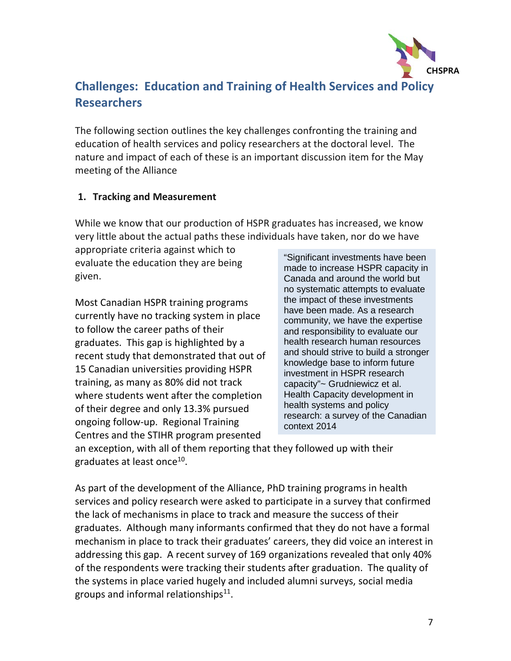

# **Challenges: Education and Training of Health Services and Policy Researchers**

The following section outlines the key challenges confronting the training and education of health services and policy researchers at the doctoral level. The nature and impact of each of these is an important discussion item for the May meeting of the Alliance

#### **1. Tracking and Measurement**

While we know that our production of HSPR graduates has increased, we know very little about the actual paths these individuals have taken, nor do we have

appropriate criteria against which to evaluate the education they are being given.

Most Canadian HSPR training programs currently have no tracking system in place to follow the career paths of their graduates. This gap is highlighted by a recent study that demonstrated that out of 15 Canadian universities providing HSPR training, as many as 80% did not track where students went after the completion of their degree and only 13.3% pursued ongoing follow-up. Regional Training Centres and the STIHR program presented

"Significant investments have been made to increase HSPR capacity in Canada and around the world but no systematic attempts to evaluate the impact of these investments have been made. As a research community, we have the expertise and responsibility to evaluate our health research human resources and should strive to build a stronger knowledge base to inform future investment in HSPR research capacity"~ Grudniewicz et al. Health Capacity development in health systems and policy research: a survey of the Canadian context 2014

an exception, with all of them reporting that they followed up with their graduates at least once<sup>10</sup>.

As part of the development of the Alliance, PhD training programs in health services and policy research were asked to participate in a survey that confirmed the lack of mechanisms in place to track and measure the success of their graduates. Although many informants confirmed that they do not have a formal mechanism in place to track their graduates' careers, they did voice an interest in addressing this gap. A recent survey of 169 organizations revealed that only 40% of the respondents were tracking their students after graduation. The quality of the systems in place varied hugely and included alumni surveys, social media groups and informal relationships $^{11}$ .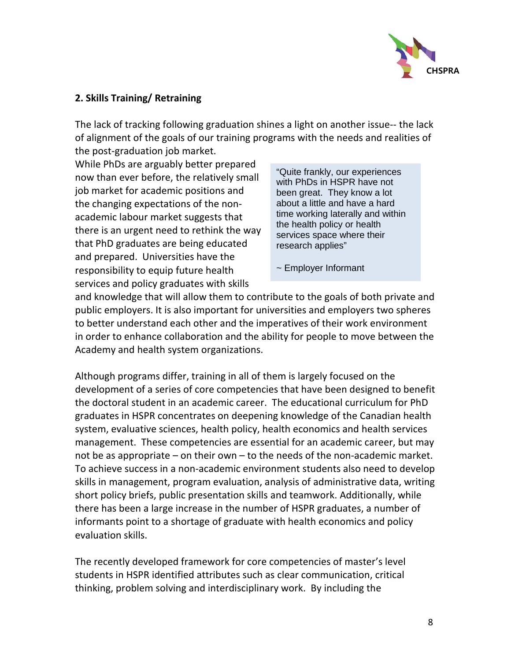

#### **2. Skills Training/ Retraining**

The lack of tracking following graduation shines a light on another issue-- the lack of alignment of the goals of our training programs with the needs and realities of the post-graduation job market.

While PhDs are arguably better prepared now than ever before, the relatively small job market for academic positions and the changing expectations of the nonacademic labour market suggests that there is an urgent need to rethink the way that PhD graduates are being educated and prepared. Universities have the responsibility to equip future health services and policy graduates with skills

"Quite frankly, our experiences with PhDs in HSPR have not been great. They know a lot about a little and have a hard time working laterally and within the health policy or health services space where their research applies"

~ Employer Informant

and knowledge that will allow them to contribute to the goals of both private and public employers. It is also important for universities and employers two spheres to better understand each other and the imperatives of their work environment in order to enhance collaboration and the ability for people to move between the Academy and health system organizations.

Although programs differ, training in all of them is largely focused on the development of a series of core competencies that have been designed to benefit the doctoral student in an academic career. The educational curriculum for PhD graduates in HSPR concentrates on deepening knowledge of the Canadian health system, evaluative sciences, health policy, health economics and health services management. These competencies are essential for an academic career, but may not be as appropriate – on their own – to the needs of the non-academic market. To achieve success in a non-academic environment students also need to develop skills in management, program evaluation, analysis of administrative data, writing short policy briefs, public presentation skills and teamwork. Additionally, while there has been a large increase in the number of HSPR graduates, a number of informants point to a shortage of graduate with health economics and policy evaluation skills.

The recently developed framework for core competencies of master's level students in HSPR identified attributes such as clear communication, critical thinking, problem solving and interdisciplinary work. By including the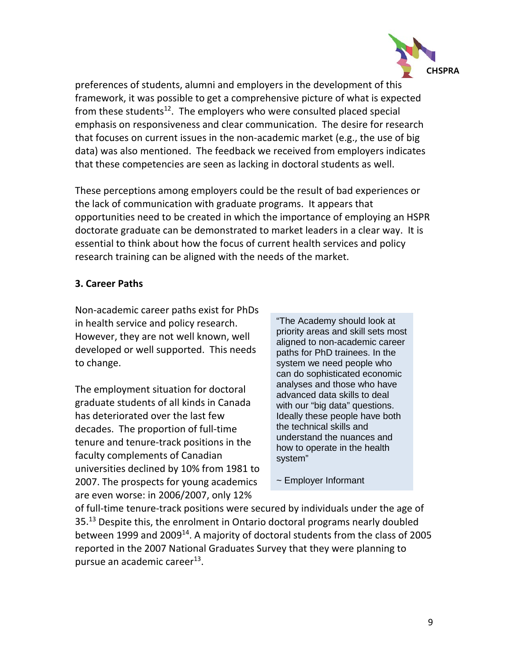

preferences of students, alumni and employers in the development of this framework, it was possible to get a comprehensive picture of what is expected from these students<sup>12</sup>. The employers who were consulted placed special emphasis on responsiveness and clear communication. The desire for research that focuses on current issues in the non-academic market (e.g., the use of big data) was also mentioned. The feedback we received from employers indicates that these competencies are seen as lacking in doctoral students as well.

These perceptions among employers could be the result of bad experiences or the lack of communication with graduate programs. It appears that opportunities need to be created in which the importance of employing an HSPR doctorate graduate can be demonstrated to market leaders in a clear way. It is essential to think about how the focus of current health services and policy research training can be aligned with the needs of the market.

#### **3. Career Paths**

Non-academic career paths exist for PhDs in health service and policy research. However, they are not well known, well developed or well supported. This needs to change.

The employment situation for doctoral graduate students of all kinds in Canada has deteriorated over the last few decades. The proportion of full-time tenure and tenure-track positions in the faculty complements of Canadian universities declined by 10% from 1981 to 2007. The prospects for young academics are even worse: in 2006/2007, only 12%

"The Academy should look at priority areas and skill sets most aligned to non-academic career paths for PhD trainees. In the system we need people who can do sophisticated economic analyses and those who have advanced data skills to deal with our "big data" questions. Ideally these people have both the technical skills and understand the nuances and how to operate in the health system"

~ Employer Informant

of full-time tenure-track positions were secured by individuals under the age of 35. [13](#page-15-1) Despite this, the enrolment in Ontario doctoral programs nearly doubled between 1999 and 2009<sup>14</sup>. A majority of doctoral students from the class of 2005 reported in the 2007 National Graduates Survey that they were planning to pursue an academic career<sup>13</sup>.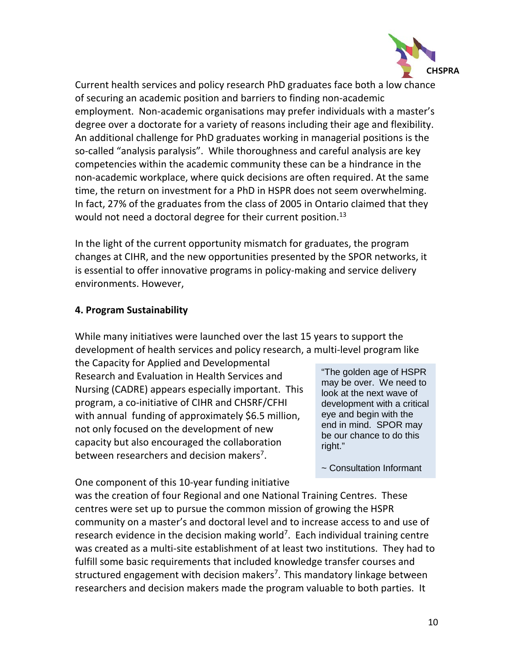

Current health services and policy research PhD graduates face both a low chance of securing an academic position and barriers to finding non-academic employment. Non-academic organisations may prefer individuals with a master's degree over a doctorate for a variety of reasons including their age and flexibility. An additional challenge for PhD graduates working in managerial positions is the so-called "analysis paralysis". While thoroughness and careful analysis are key competencies within the academic community these can be a hindrance in the non-academic workplace, where quick decisions are often required. At the same time, the return on investment for a PhD in HSPR does not seem overwhelming. In fact, 27% of the graduates from the class of 2005 in Ontario claimed that they would not need a doctoral degree for their current position.<sup>[13](#page-15-1)</sup>

In the light of the current opportunity mismatch for graduates, the program changes at CIHR, and the new opportunities presented by the SPOR networks, it is essential to offer innovative programs in policy-making and service delivery environments. However,

#### **4. Program Sustainability**

While many initiatives were launched over the last 15 years to support the development of health services and policy research, a multi-level program like

the Capacity for Applied and Developmental Research and Evaluation in Health Services and Nursing (CADRE) appears especially important. This program, a co-initiative of CIHR and CHSRF/CFHI with annual funding of approximately \$6.5 million, not only focused on the development of new capacity but also encouraged the collaboration between researchers and decision makers<sup>[7](#page-14-6)</sup>.

"The golden age of HSPR may be over. We need to look at the next wave of development with a critical eye and begin with the end in mind. SPOR may be our chance to do this right."

~ Consultation Informant

One component of this 10-year funding initiative was the creation of four Regional and one National Training Centres. These centres were set up to pursue the common mission of growing the HSPR community on a master's and doctoral level and to increase access to and use of research evidence in the decision making world<sup>[7](#page-14-6)</sup>. Each individual training centre was created as a multi-site establishment of at least two institutions. They had to fulfill some basic requirements that included knowledge transfer courses and structured engagement with decision makers<sup>[7](#page-14-6)</sup>. This mandatory linkage between researchers and decision makers made the program valuable to both parties. It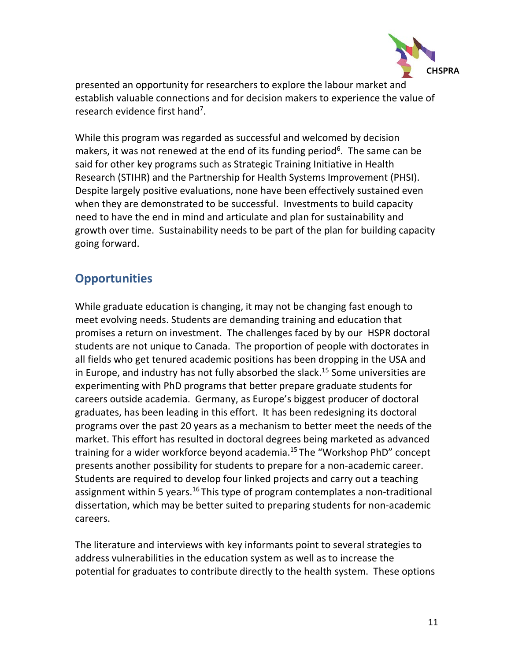

presented an opportunity for researchers to explore the labour market and establish valuable connections and for decision makers to experience the value of research evidence first hand<sup>[7](#page-14-6)</sup>.

While this program was regarded as successful and welcomed by decision makers, it was not renewed at the end of its funding period<sup>[6](#page-14-5)</sup>. The same can be said for other key programs such as Strategic Training Initiative in Health Research (STIHR) and the Partnership for Health Systems Improvement (PHSI). Despite largely positive evaluations, none have been effectively sustained even when they are demonstrated to be successful. Investments to build capacity need to have the end in mind and articulate and plan for sustainability and growth over time. Sustainability needs to be part of the plan for building capacity going forward.

# **Opportunities**

While graduate education is changing, it may not be changing fast enough to meet evolving needs. Students are demanding training and education that promises a return on investment. The challenges faced by by our HSPR doctoral students are not unique to Canada. The proportion of people with doctorates in all fields who get tenured academic positions has been dropping in the USA and in Europe, and industry has not fully absorbed the slack. [15](#page-15-3) Some universities are experimenting with PhD programs that better prepare graduate students for careers outside academia. Germany, as Europe's biggest producer of doctoral graduates, has been leading in this effort. It has been redesigning its doctoral programs over the past 20 years as a mechanism to better meet the needs of the market. This effort has resulted in doctoral degrees being marketed as advanced training for a wider workforce beyond academia.<sup>[15](#page-15-3)</sup> The "Workshop PhD" concept presents another possibility for students to prepare for a non-academic career. Students are required to develop four linked projects and carry out a teaching assignment within 5 years.<sup>[16](#page-15-4)</sup> This type of program contemplates a non-traditional dissertation, which may be better suited to preparing students for non-academic careers.

The literature and interviews with key informants point to several strategies to address vulnerabilities in the education system as well as to increase the potential for graduates to contribute directly to the health system. These options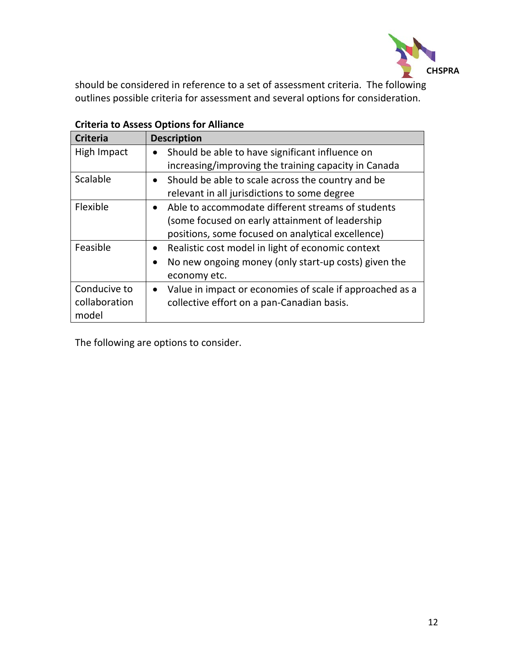

should be considered in reference to a set of assessment criteria. The following outlines possible criteria for assessment and several options for consideration.

| <b>Criteria</b> | <b>Description</b>                                                    |
|-----------------|-----------------------------------------------------------------------|
| High Impact     | Should be able to have significant influence on                       |
|                 | increasing/improving the training capacity in Canada                  |
| Scalable        | Should be able to scale across the country and be                     |
|                 | relevant in all jurisdictions to some degree                          |
| Flexible        | Able to accommodate different streams of students                     |
|                 | (some focused on early attainment of leadership                       |
|                 | positions, some focused on analytical excellence)                     |
| Feasible        | Realistic cost model in light of economic context                     |
|                 | No new ongoing money (only start-up costs) given the<br>$\bullet$     |
|                 | economy etc.                                                          |
| Conducive to    | Value in impact or economies of scale if approached as a<br>$\bullet$ |
| collaboration   | collective effort on a pan-Canadian basis.                            |
| model           |                                                                       |

### **Criteria to Assess Options for Alliance**

The following are options to consider.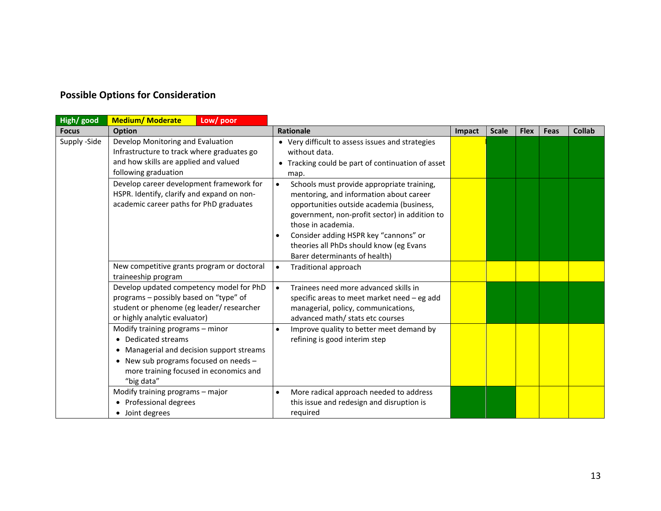## **Possible Options for Consideration**

| High/ good   | <b>Medium/ Moderate</b><br>Low/ poor                                                                                                                                                              |                                                                                                                                                                                                                                                                                                                                                          |        |              |             |      |               |
|--------------|---------------------------------------------------------------------------------------------------------------------------------------------------------------------------------------------------|----------------------------------------------------------------------------------------------------------------------------------------------------------------------------------------------------------------------------------------------------------------------------------------------------------------------------------------------------------|--------|--------------|-------------|------|---------------|
| <b>Focus</b> | <b>Option</b>                                                                                                                                                                                     | <b>Rationale</b>                                                                                                                                                                                                                                                                                                                                         | Impact | <b>Scale</b> | <b>Flex</b> | Feas | <b>Collab</b> |
| Supply -Side | Develop Monitoring and Evaluation<br>Infrastructure to track where graduates go<br>and how skills are applied and valued<br>following graduation                                                  | • Very difficult to assess issues and strategies<br>without data.<br>• Tracking could be part of continuation of asset<br>map.                                                                                                                                                                                                                           |        |              |             |      |               |
|              | Develop career development framework for<br>HSPR. Identify, clarify and expand on non-<br>academic career paths for PhD graduates                                                                 | $\bullet$<br>Schools must provide appropriate training,<br>mentoring, and information about career<br>opportunities outside academia (business,<br>government, non-profit sector) in addition to<br>those in academia.<br>Consider adding HSPR key "cannons" or<br>$\bullet$<br>theories all PhDs should know (eg Evans<br>Barer determinants of health) |        |              |             |      |               |
|              | New competitive grants program or doctoral<br>traineeship program                                                                                                                                 | <b>Traditional approach</b><br>$\bullet$                                                                                                                                                                                                                                                                                                                 |        |              |             |      |               |
|              | Develop updated competency model for PhD<br>programs - possibly based on "type" of<br>student or phenome (eg leader/ researcher<br>or highly analytic evaluator)                                  | $\bullet$<br>Trainees need more advanced skills in<br>specific areas to meet market need - eg add<br>managerial, policy, communications,<br>advanced math/ stats etc courses                                                                                                                                                                             |        |              |             |      |               |
|              | Modify training programs - minor<br>• Dedicated streams<br>Managerial and decision support streams<br>New sub programs focused on needs -<br>more training focused in economics and<br>"big data" | Improve quality to better meet demand by<br>$\bullet$<br>refining is good interim step                                                                                                                                                                                                                                                                   |        |              |             |      |               |
|              | Modify training programs - major<br>Professional degrees<br>• Joint degrees                                                                                                                       | More radical approach needed to address<br>$\bullet$<br>this issue and redesign and disruption is<br>required                                                                                                                                                                                                                                            |        |              |             |      |               |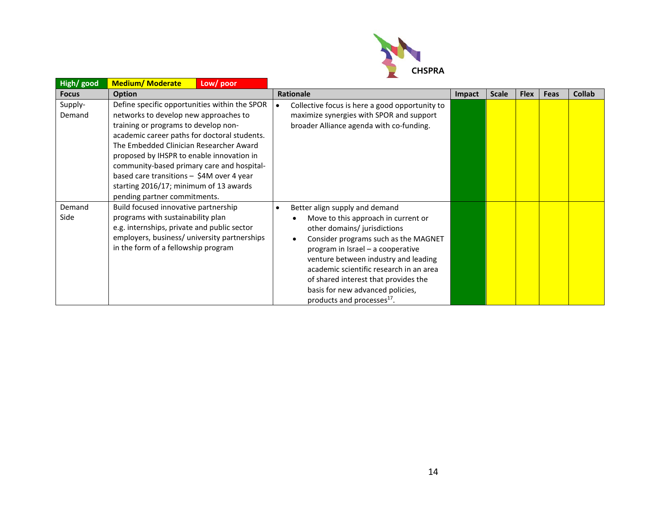

| High/ good        | <b>Medium/Moderate</b><br>Low/poor                                                                                                                                                                                                                                                                                                                                                                                                          |                                                                                                                                                                                                                                                                                                                                                                                                                       |               |              |             |      |               |
|-------------------|---------------------------------------------------------------------------------------------------------------------------------------------------------------------------------------------------------------------------------------------------------------------------------------------------------------------------------------------------------------------------------------------------------------------------------------------|-----------------------------------------------------------------------------------------------------------------------------------------------------------------------------------------------------------------------------------------------------------------------------------------------------------------------------------------------------------------------------------------------------------------------|---------------|--------------|-------------|------|---------------|
| <b>Focus</b>      | <b>Option</b>                                                                                                                                                                                                                                                                                                                                                                                                                               | <b>Rationale</b>                                                                                                                                                                                                                                                                                                                                                                                                      | <b>Impact</b> | <b>Scale</b> | <b>Flex</b> | Feas | <b>Collab</b> |
| Supply-<br>Demand | Define specific opportunities within the SPOR<br>networks to develop new approaches to<br>training or programs to develop non-<br>academic career paths for doctoral students.<br>The Embedded Clinician Researcher Award<br>proposed by IHSPR to enable innovation in<br>community-based primary care and hospital-<br>based care transitions - \$4M over 4 year<br>starting 2016/17; minimum of 13 awards<br>pending partner commitments. | Collective focus is here a good opportunity to<br>$\bullet$<br>maximize synergies with SPOR and support<br>broader Alliance agenda with co-funding.                                                                                                                                                                                                                                                                   |               |              |             |      |               |
| Demand<br>Side    | Build focused innovative partnership<br>programs with sustainability plan<br>e.g. internships, private and public sector<br>employers, business/ university partnerships<br>in the form of a fellowship program                                                                                                                                                                                                                             | Better align supply and demand<br>$\bullet$<br>Move to this approach in current or<br>other domains/ jurisdictions<br>Consider programs such as the MAGNET<br>$\bullet$<br>program in Israel - a cooperative<br>venture between industry and leading<br>academic scientific research in an area<br>of shared interest that provides the<br>basis for new advanced policies,<br>products and processes <sup>17</sup> . |               |              |             |      |               |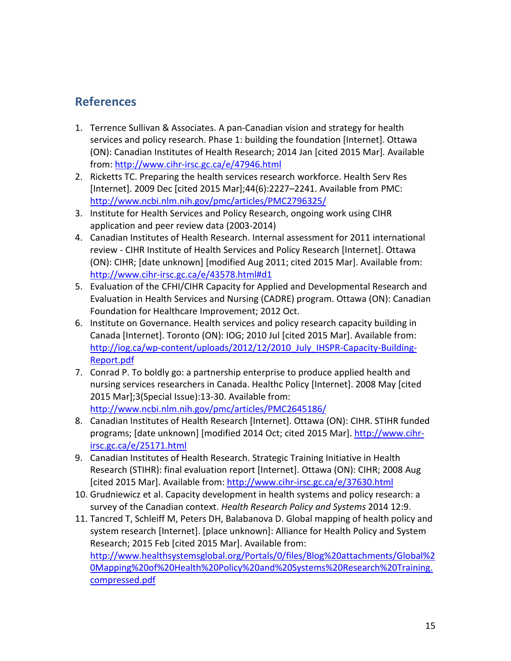# **References**

- <span id="page-14-0"></span>1. Terrence Sullivan & Associates. A pan-Canadian vision and strategy for health services and policy research. Phase 1: building the foundation [Internet]. Ottawa (ON): Canadian Institutes of Health Research; 2014 Jan [cited 2015 Mar]*.* Available from: <http://www.cihr-irsc.gc.ca/e/47946.html>
- <span id="page-14-1"></span>2. Ricketts TC. Preparing the health services research workforce. Health Serv Res [Internet]. 2009 Dec [cited 2015 Mar];44(6):2227–2241. Available from PMC: <http://www.ncbi.nlm.nih.gov/pmc/articles/PMC2796325/>
- <span id="page-14-2"></span>3. Institute for Health Services and Policy Research, ongoing work using CIHR application and peer review data (2003-2014)
- <span id="page-14-3"></span>4. Canadian Institutes of Health Research. Internal assessment for 2011 international review - CIHR Institute of Health Services and Policy Research [Internet]. Ottawa (ON): CIHR; [date unknown] [modified Aug 2011; cited 2015 Mar]. Available from: <http://www.cihr-irsc.gc.ca/e/43578.html#d1>
- <span id="page-14-4"></span>5. Evaluation of the CFHI/CIHR Capacity for Applied and Developmental Research and Evaluation in Health Services and Nursing (CADRE) program. Ottawa (ON): Canadian Foundation for Healthcare Improvement; 2012 Oct.
- <span id="page-14-5"></span>6. Institute on Governance. Health services and policy research capacity building in Canada [Internet]. Toronto (ON): IOG; 2010 Jul [cited 2015 Mar]. Available from: [http://iog.ca/wp-content/uploads/2012/12/2010\\_July\\_IHSPR-Capacity-Building-](http://iog.ca/wp-content/uploads/2012/12/2010_July_IHSPR-Capacity-Building-Report.pdf)[Report.pdf](http://iog.ca/wp-content/uploads/2012/12/2010_July_IHSPR-Capacity-Building-Report.pdf)
- <span id="page-14-6"></span>7. Conrad P. To boldly go: a partnership enterprise to produce applied health and nursing services researchers in Canada. Healthc Policy [Internet]. 2008 May [cited 2015 Mar];3(Special Issue):13-30. Available from: <http://www.ncbi.nlm.nih.gov/pmc/articles/PMC2645186/>
- <span id="page-14-7"></span>8. Canadian Institutes of Health Research [Internet]. Ottawa (ON): CIHR. STIHR funded programs; [date unknown] [modified 2014 Oct; cited 2015 Mar]. [http://www.cihr](http://www.cihr-irsc.gc.ca/e/25171.html)[irsc.gc.ca/e/25171.html](http://www.cihr-irsc.gc.ca/e/25171.html)
- <span id="page-14-8"></span>9. Canadian Institutes of Health Research. Strategic Training Initiative in Health Research (STIHR): final evaluation report [Internet]. Ottawa (ON): CIHR; 2008 Aug [cited 2015 Mar]. Available from:<http://www.cihr-irsc.gc.ca/e/37630.html>
- <span id="page-14-9"></span>10. Grudniewicz et al. Capacity development in health systems and policy research: a survey of the Canadian context. *Health Research Policy and Systems* 2014 12:9.
- <span id="page-14-10"></span>11. Tancred T, Schleiff M, Peters DH, Balabanova D. Global mapping of health policy and system research [Internet]. [place unknown]: Alliance for Health Policy and System Research; 2015 Feb [cited 2015 Mar]. Available from: [http://www.healthsystemsglobal.org/Portals/0/files/Blog%20attachments/Global%2](http://www.healthsystemsglobal.org/Portals/0/files/Blog%20attachments/Global%20Mapping%20of%20Health%20Policy%20and%20Systems%20Research%20Training.compressed.pdf) [0Mapping%20of%20Health%20Policy%20and%20Systems%20Research%20Training.](http://www.healthsystemsglobal.org/Portals/0/files/Blog%20attachments/Global%20Mapping%20of%20Health%20Policy%20and%20Systems%20Research%20Training.compressed.pdf) [compressed.pdf](http://www.healthsystemsglobal.org/Portals/0/files/Blog%20attachments/Global%20Mapping%20of%20Health%20Policy%20and%20Systems%20Research%20Training.compressed.pdf)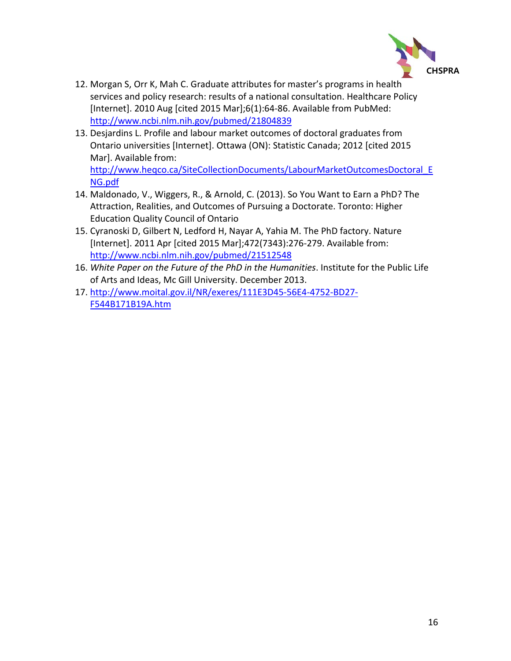

- <span id="page-15-0"></span>12. Morgan S, Orr K, Mah C. Graduate attributes for master's programs in health services and policy research: results of a national consultation. Healthcare Policy [Internet]. 2010 Aug [cited 2015 Mar];6(1):64-86. Available from PubMed: <http://www.ncbi.nlm.nih.gov/pubmed/21804839>
- <span id="page-15-5"></span><span id="page-15-1"></span>13. Desjardins L. Profile and labour market outcomes of doctoral graduates from Ontario universities [Internet]. Ottawa (ON): Statistic Canada; 2012 [cited 2015 Mar]. Available from: [http://www.heqco.ca/SiteCollectionDocuments/LabourMarketOutcomesDoctoral\\_E](http://www.heqco.ca/SiteCollectionDocuments/LabourMarketOutcomesDoctoral_ENG.pdf)

[NG.pdf](http://www.heqco.ca/SiteCollectionDocuments/LabourMarketOutcomesDoctoral_ENG.pdf)

- <span id="page-15-2"></span>14. Maldonado, V., Wiggers, R., & Arnold, C. (2013). So You Want to Earn a PhD? The Attraction, Realities, and Outcomes of Pursuing a Doctorate. Toronto: Higher Education Quality Council of Ontario
- <span id="page-15-3"></span>15. Cyranoski D, Gilbert N, Ledford H, Nayar A, Yahia M. The PhD factory. Nature [Internet]. 2011 Apr [cited 2015 Mar];472(7343):276-279. Available from: <http://www.ncbi.nlm.nih.gov/pubmed/21512548>
- <span id="page-15-4"></span>16. *White Paper on the Future of the PhD in the Humanities*. Institute for the Public Life of Arts and Ideas, Mc Gill University. December 2013.
- 17. [http://www.moital.gov.il/NR/exeres/111E3D45-56E4-4752-BD27-](http://www.moital.gov.il/NR/exeres/111E3D45-56E4-4752-BD27-F544B171B19A.htm) [F544B171B19A.htm](http://www.moital.gov.il/NR/exeres/111E3D45-56E4-4752-BD27-F544B171B19A.htm)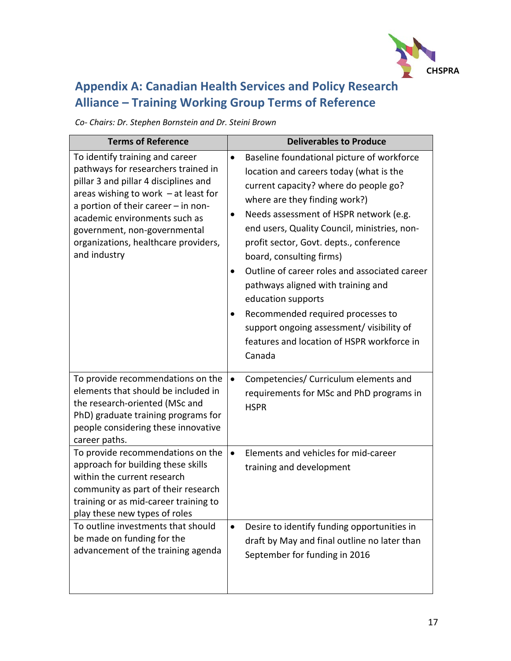

# **Appendix A: Canadian Health Services and Policy Research Alliance – Training Working Group Terms of Reference**

*Co- Chairs: Dr. Stephen Bornstein and Dr. Steini Brown* 

| <b>Terms of Reference</b>                                                                                                                                                                                                                                                                                                 | <b>Deliverables to Produce</b>                                                                                                                                                                                                                                                                                                                                                                                                                                                                                                                                                                                    |
|---------------------------------------------------------------------------------------------------------------------------------------------------------------------------------------------------------------------------------------------------------------------------------------------------------------------------|-------------------------------------------------------------------------------------------------------------------------------------------------------------------------------------------------------------------------------------------------------------------------------------------------------------------------------------------------------------------------------------------------------------------------------------------------------------------------------------------------------------------------------------------------------------------------------------------------------------------|
| To identify training and career<br>pathways for researchers trained in<br>pillar 3 and pillar 4 disciplines and<br>areas wishing to work $-$ at least for<br>a portion of their career - in non-<br>academic environments such as<br>government, non-governmental<br>organizations, healthcare providers,<br>and industry | Baseline foundational picture of workforce<br>$\bullet$<br>location and careers today (what is the<br>current capacity? where do people go?<br>where are they finding work?)<br>Needs assessment of HSPR network (e.g.<br>end users, Quality Council, ministries, non-<br>profit sector, Govt. depts., conference<br>board, consulting firms)<br>Outline of career roles and associated career<br>$\bullet$<br>pathways aligned with training and<br>education supports<br>Recommended required processes to<br>support ongoing assessment/ visibility of<br>features and location of HSPR workforce in<br>Canada |
| To provide recommendations on the<br>elements that should be included in<br>the research-oriented (MSc and<br>PhD) graduate training programs for<br>people considering these innovative<br>career paths.                                                                                                                 | Competencies/ Curriculum elements and<br>$\bullet$<br>requirements for MSc and PhD programs in<br><b>HSPR</b>                                                                                                                                                                                                                                                                                                                                                                                                                                                                                                     |
| To provide recommendations on the<br>approach for building these skills<br>within the current research<br>community as part of their research<br>training or as mid-career training to<br>play these new types of roles                                                                                                   | Elements and vehicles for mid-career<br>$\bullet$<br>training and development                                                                                                                                                                                                                                                                                                                                                                                                                                                                                                                                     |
| To outline investments that should<br>be made on funding for the<br>advancement of the training agenda                                                                                                                                                                                                                    | Desire to identify funding opportunities in<br>$\bullet$<br>draft by May and final outline no later than<br>September for funding in 2016                                                                                                                                                                                                                                                                                                                                                                                                                                                                         |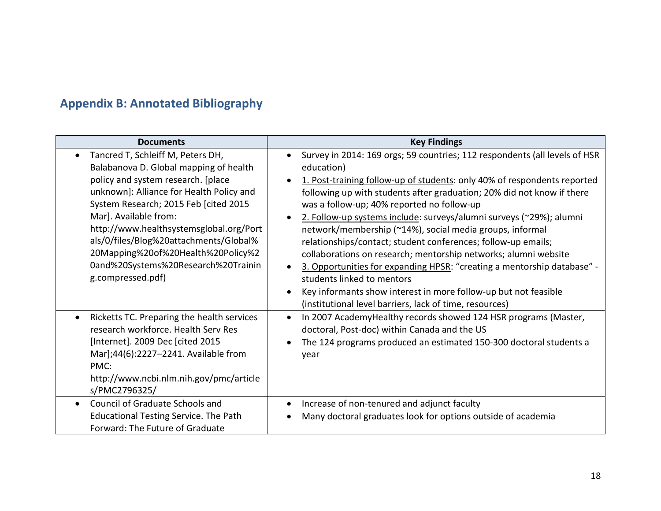# **Appendix B: Annotated Bibliography**

| <b>Documents</b>                                                                                                                                                                                                                                                                                                                                                                                                       | <b>Key Findings</b>                                                                                                                                                                                                                                                                                                                                                                                                                                                                                                                                                                                                                                                                                                                                                                                                                                            |
|------------------------------------------------------------------------------------------------------------------------------------------------------------------------------------------------------------------------------------------------------------------------------------------------------------------------------------------------------------------------------------------------------------------------|----------------------------------------------------------------------------------------------------------------------------------------------------------------------------------------------------------------------------------------------------------------------------------------------------------------------------------------------------------------------------------------------------------------------------------------------------------------------------------------------------------------------------------------------------------------------------------------------------------------------------------------------------------------------------------------------------------------------------------------------------------------------------------------------------------------------------------------------------------------|
| Tancred T, Schleiff M, Peters DH,<br>Balabanova D. Global mapping of health<br>policy and system research. [place<br>unknown]: Alliance for Health Policy and<br>System Research; 2015 Feb [cited 2015<br>Mar]. Available from:<br>http://www.healthsystemsglobal.org/Port<br>als/0/files/Blog%20attachments/Global%<br>20Mapping%20of%20Health%20Policy%2<br>0and%20Systems%20Research%20Trainin<br>g.compressed.pdf) | Survey in 2014: 169 orgs; 59 countries; 112 respondents (all levels of HSR<br>$\bullet$<br>education)<br>1. Post-training follow-up of students: only 40% of respondents reported<br>following up with students after graduation; 20% did not know if there<br>was a follow-up; 40% reported no follow-up<br>2. Follow-up systems include: surveys/alumni surveys (~29%); alumni<br>$\bullet$<br>network/membership (~14%), social media groups, informal<br>relationships/contact; student conferences; follow-up emails;<br>collaborations on research; mentorship networks; alumni website<br>3. Opportunities for expanding HPSR: "creating a mentorship database" -<br>$\bullet$<br>students linked to mentors<br>Key informants show interest in more follow-up but not feasible<br>$\bullet$<br>(institutional level barriers, lack of time, resources) |
| Ricketts TC. Preparing the health services<br>research workforce. Health Serv Res<br>[Internet]. 2009 Dec [cited 2015<br>Mar];44(6):2227-2241. Available from<br>PMC:<br>http://www.ncbi.nlm.nih.gov/pmc/article<br>s/PMC2796325/<br>Council of Graduate Schools and                                                                                                                                                   | In 2007 AcademyHealthy records showed 124 HSR programs (Master,<br>$\bullet$<br>doctoral, Post-doc) within Canada and the US<br>The 124 programs produced an estimated 150-300 doctoral students a<br>$\bullet$<br>year                                                                                                                                                                                                                                                                                                                                                                                                                                                                                                                                                                                                                                        |
| <b>Educational Testing Service. The Path</b><br>Forward: The Future of Graduate                                                                                                                                                                                                                                                                                                                                        | Increase of non-tenured and adjunct faculty<br>$\bullet$<br>Many doctoral graduates look for options outside of academia                                                                                                                                                                                                                                                                                                                                                                                                                                                                                                                                                                                                                                                                                                                                       |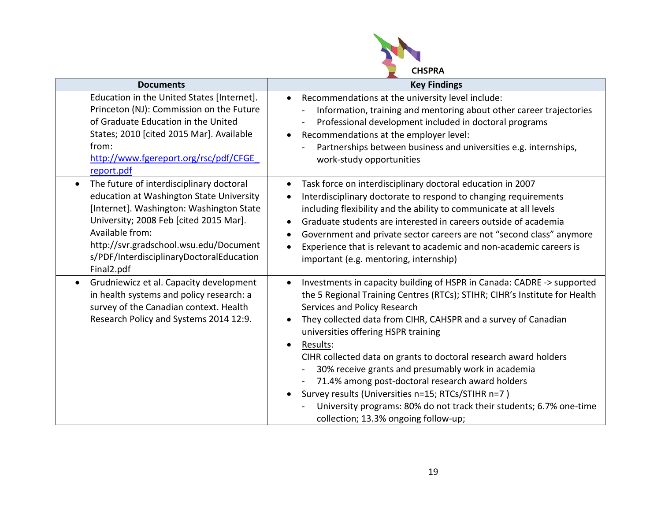

| <b>Documents</b>                                                                                                                                                                                                                                                                                               | <b>Key Findings</b>                                                                                                                                                                                                                                                                                                                                                                                                                                                                                                                                                                                                                                                                                              |
|----------------------------------------------------------------------------------------------------------------------------------------------------------------------------------------------------------------------------------------------------------------------------------------------------------------|------------------------------------------------------------------------------------------------------------------------------------------------------------------------------------------------------------------------------------------------------------------------------------------------------------------------------------------------------------------------------------------------------------------------------------------------------------------------------------------------------------------------------------------------------------------------------------------------------------------------------------------------------------------------------------------------------------------|
| Education in the United States [Internet].<br>Princeton (NJ): Commission on the Future<br>of Graduate Education in the United<br>States; 2010 [cited 2015 Mar]. Available<br>from:<br>http://www.fgereport.org/rsc/pdf/CFGE<br>report.pdf                                                                      | Recommendations at the university level include:<br>$\bullet$<br>Information, training and mentoring about other career trajectories<br>Professional development included in doctoral programs<br>Recommendations at the employer level:<br>$\bullet$<br>Partnerships between business and universities e.g. internships,<br>work-study opportunities                                                                                                                                                                                                                                                                                                                                                            |
| The future of interdisciplinary doctoral<br>$\bullet$<br>education at Washington State University<br>[Internet]. Washington: Washington State<br>University; 2008 Feb [cited 2015 Mar].<br>Available from:<br>http://svr.gradschool.wsu.edu/Document<br>s/PDF/InterdisciplinaryDoctoralEducation<br>Final2.pdf | Task force on interdisciplinary doctoral education in 2007<br>Interdisciplinary doctorate to respond to changing requirements<br>including flexibility and the ability to communicate at all levels<br>Graduate students are interested in careers outside of academia<br>$\bullet$<br>Government and private sector careers are not "second class" anymore<br>٠<br>Experience that is relevant to academic and non-academic careers is<br>$\bullet$<br>important (e.g. mentoring, internship)                                                                                                                                                                                                                   |
| Grudniewicz et al. Capacity development<br>in health systems and policy research: a<br>survey of the Canadian context. Health<br>Research Policy and Systems 2014 12:9.                                                                                                                                        | Investments in capacity building of HSPR in Canada: CADRE -> supported<br>$\bullet$<br>the 5 Regional Training Centres (RTCs); STIHR; CIHR's Institute for Health<br>Services and Policy Research<br>They collected data from CIHR, CAHSPR and a survey of Canadian<br>$\bullet$<br>universities offering HSPR training<br>Results:<br>$\bullet$<br>CIHR collected data on grants to doctoral research award holders<br>30% receive grants and presumably work in academia<br>71.4% among post-doctoral research award holders<br>Survey results (Universities n=15; RTCs/STIHR n=7)<br>$\bullet$<br>University programs: 80% do not track their students; 6.7% one-time<br>collection; 13.3% ongoing follow-up; |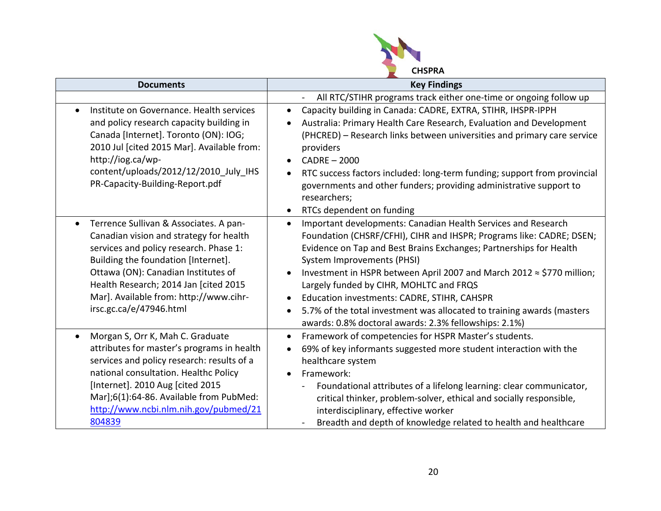

| <b>Documents</b>                                                                                                                                                                                                                                                                                                                     | <b>Key Findings</b>                                                                                                                                                                                                                                                                                                                                                                                                                                                                                                                                                                    |
|--------------------------------------------------------------------------------------------------------------------------------------------------------------------------------------------------------------------------------------------------------------------------------------------------------------------------------------|----------------------------------------------------------------------------------------------------------------------------------------------------------------------------------------------------------------------------------------------------------------------------------------------------------------------------------------------------------------------------------------------------------------------------------------------------------------------------------------------------------------------------------------------------------------------------------------|
|                                                                                                                                                                                                                                                                                                                                      | All RTC/STIHR programs track either one-time or ongoing follow up                                                                                                                                                                                                                                                                                                                                                                                                                                                                                                                      |
| Institute on Governance. Health services<br>and policy research capacity building in<br>Canada [Internet]. Toronto (ON): IOG;<br>2010 Jul [cited 2015 Mar]. Available from:<br>http://iog.ca/wp-<br>content/uploads/2012/12/2010_July_IHS<br>PR-Capacity-Building-Report.pdf                                                         | Capacity building in Canada: CADRE, EXTRA, STIHR, IHSPR-IPPH<br>$\bullet$<br>Australia: Primary Health Care Research, Evaluation and Development<br>$\bullet$<br>(PHCRED) - Research links between universities and primary care service<br>providers<br>$CADER - 2000$<br>$\bullet$<br>RTC success factors included: long-term funding; support from provincial<br>$\bullet$<br>governments and other funders; providing administrative support to<br>researchers;<br>RTCs dependent on funding<br>$\bullet$                                                                          |
| Terrence Sullivan & Associates. A pan-<br>$\bullet$<br>Canadian vision and strategy for health<br>services and policy research. Phase 1:<br>Building the foundation [Internet].<br>Ottawa (ON): Canadian Institutes of<br>Health Research; 2014 Jan [cited 2015<br>Mar]. Available from: http://www.cihr-<br>irsc.gc.ca/e/47946.html | Important developments: Canadian Health Services and Research<br>$\bullet$<br>Foundation (CHSRF/CFHI), CIHR and IHSPR; Programs like: CADRE; DSEN;<br>Evidence on Tap and Best Brains Exchanges; Partnerships for Health<br>System Improvements (PHSI)<br>Investment in HSPR between April 2007 and March 2012 ≈ \$770 million;<br>$\bullet$<br>Largely funded by CIHR, MOHLTC and FRQS<br>Education investments: CADRE, STIHR, CAHSPR<br>5.7% of the total investment was allocated to training awards (masters<br>$\bullet$<br>awards: 0.8% doctoral awards: 2.3% fellowships: 2.1%) |
| Morgan S, Orr K, Mah C. Graduate<br>attributes for master's programs in health<br>services and policy research: results of a<br>national consultation. Healthc Policy<br>[Internet]. 2010 Aug [cited 2015<br>Mar];6(1):64-86. Available from PubMed:<br>http://www.ncbi.nlm.nih.gov/pubmed/21<br>804839                              | Framework of competencies for HSPR Master's students.<br>$\bullet$<br>69% of key informants suggested more student interaction with the<br>$\bullet$<br>healthcare system<br>Framework:<br>$\bullet$<br>Foundational attributes of a lifelong learning: clear communicator,<br>critical thinker, problem-solver, ethical and socially responsible,<br>interdisciplinary, effective worker<br>Breadth and depth of knowledge related to health and healthcare                                                                                                                           |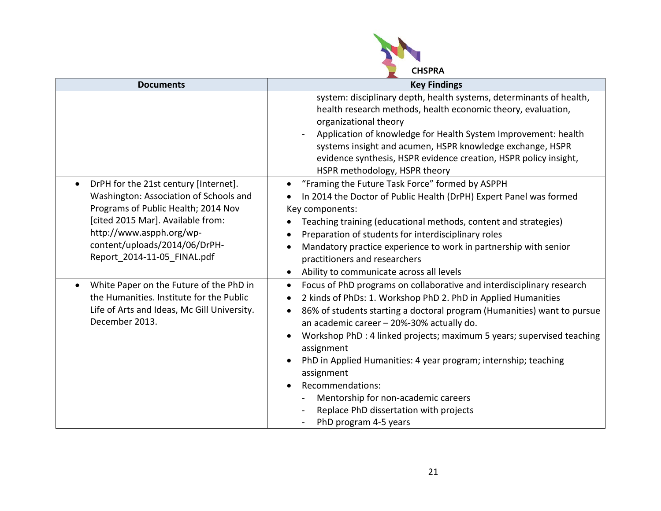

| <b>Documents</b>                                                                                                                                                                                                                                        | <b>Key Findings</b>                                                                                                                                                                                                                                                                                                                                                                                                                                                                                                                                                                                                       |
|---------------------------------------------------------------------------------------------------------------------------------------------------------------------------------------------------------------------------------------------------------|---------------------------------------------------------------------------------------------------------------------------------------------------------------------------------------------------------------------------------------------------------------------------------------------------------------------------------------------------------------------------------------------------------------------------------------------------------------------------------------------------------------------------------------------------------------------------------------------------------------------------|
|                                                                                                                                                                                                                                                         | system: disciplinary depth, health systems, determinants of health,<br>health research methods, health economic theory, evaluation,<br>organizational theory<br>Application of knowledge for Health System Improvement: health<br>systems insight and acumen, HSPR knowledge exchange, HSPR<br>evidence synthesis, HSPR evidence creation, HSPR policy insight,<br>HSPR methodology, HSPR theory                                                                                                                                                                                                                          |
| DrPH for the 21st century [Internet].<br>Washington: Association of Schools and<br>Programs of Public Health; 2014 Nov<br>[cited 2015 Mar]. Available from:<br>http://www.aspph.org/wp-<br>content/uploads/2014/06/DrPH-<br>Report 2014-11-05 FINAL.pdf | "Framing the Future Task Force" formed by ASPPH<br>In 2014 the Doctor of Public Health (DrPH) Expert Panel was formed<br>Key components:<br>Teaching training (educational methods, content and strategies)<br>Preparation of students for interdisciplinary roles<br>$\bullet$<br>Mandatory practice experience to work in partnership with senior<br>$\bullet$<br>practitioners and researchers<br>Ability to communicate across all levels<br>$\bullet$                                                                                                                                                                |
| White Paper on the Future of the PhD in<br>$\bullet$<br>the Humanities. Institute for the Public<br>Life of Arts and Ideas, Mc Gill University.<br>December 2013.                                                                                       | Focus of PhD programs on collaborative and interdisciplinary research<br>$\bullet$<br>2 kinds of PhDs: 1. Workshop PhD 2. PhD in Applied Humanities<br>86% of students starting a doctoral program (Humanities) want to pursue<br>$\bullet$<br>an academic career - 20%-30% actually do.<br>Workshop PhD : 4 linked projects; maximum 5 years; supervised teaching<br>assignment<br>PhD in Applied Humanities: 4 year program; internship; teaching<br>$\bullet$<br>assignment<br>Recommendations:<br>$\bullet$<br>Mentorship for non-academic careers<br>Replace PhD dissertation with projects<br>PhD program 4-5 years |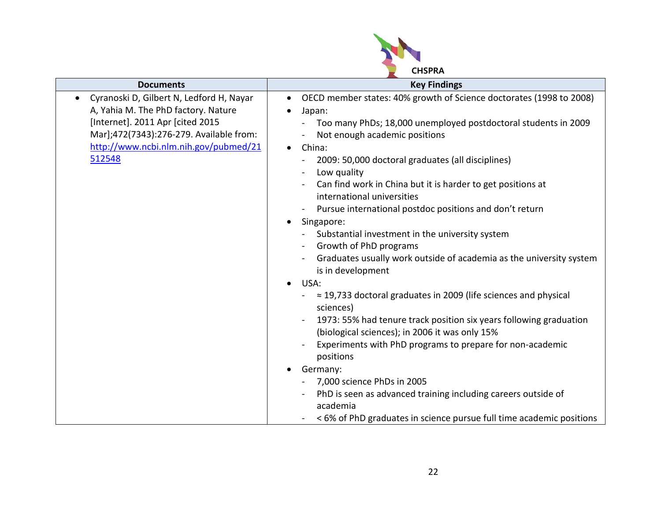

| <b>Documents</b>                                                                                                                                                                                                  | <b>Key Findings</b>                                                                                                                                                                                                                                                                                                                                                                                                                                                                                                                                                                                                                                                                                   |
|-------------------------------------------------------------------------------------------------------------------------------------------------------------------------------------------------------------------|-------------------------------------------------------------------------------------------------------------------------------------------------------------------------------------------------------------------------------------------------------------------------------------------------------------------------------------------------------------------------------------------------------------------------------------------------------------------------------------------------------------------------------------------------------------------------------------------------------------------------------------------------------------------------------------------------------|
| Cyranoski D, Gilbert N, Ledford H, Nayar<br>A, Yahia M. The PhD factory. Nature<br>[Internet]. 2011 Apr [cited 2015<br>Mar];472(7343):276-279. Available from:<br>http://www.ncbi.nlm.nih.gov/pubmed/21<br>512548 | OECD member states: 40% growth of Science doctorates (1998 to 2008)<br>$\bullet$<br>Japan:<br>Too many PhDs; 18,000 unemployed postdoctoral students in 2009<br>Not enough academic positions<br>China:<br>$\bullet$<br>2009: 50,000 doctoral graduates (all disciplines)<br>Low quality<br>Can find work in China but it is harder to get positions at<br>international universities<br>Pursue international postdoc positions and don't return<br>Singapore:<br>$\bullet$<br>Substantial investment in the university system<br>Growth of PhD programs<br>$\overline{\phantom{0}}$<br>Graduates usually work outside of academia as the university system<br>is in development<br>USA:<br>$\bullet$ |
|                                                                                                                                                                                                                   | $\approx$ 19,733 doctoral graduates in 2009 (life sciences and physical<br>sciences)<br>1973: 55% had tenure track position six years following graduation<br>(biological sciences); in 2006 it was only 15%<br>Experiments with PhD programs to prepare for non-academic<br>positions<br>Germany:<br>7,000 science PhDs in 2005<br>PhD is seen as advanced training including careers outside of<br>academia<br><6% of PhD graduates in science pursue full time academic positions                                                                                                                                                                                                                  |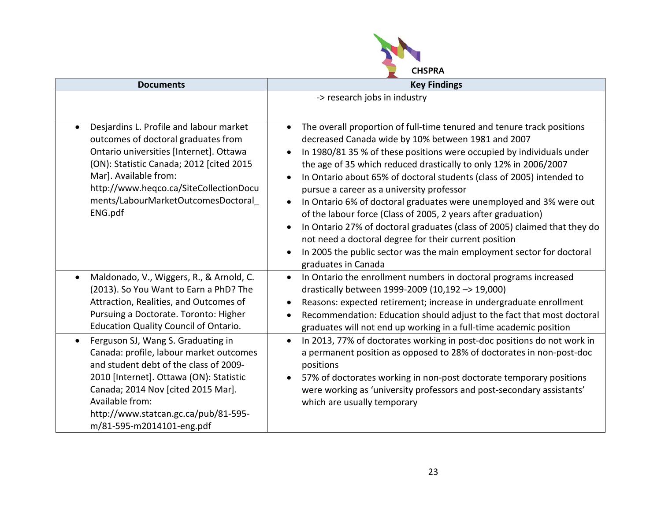

| <b>Documents</b>                                                                                                                                                                                                                                                                                              | <b>Key Findings</b>                                                                                                                                                                                                                                                                                                                                                                                                                                                                                                                                                                                                                                                                                                                                                                                     |
|---------------------------------------------------------------------------------------------------------------------------------------------------------------------------------------------------------------------------------------------------------------------------------------------------------------|---------------------------------------------------------------------------------------------------------------------------------------------------------------------------------------------------------------------------------------------------------------------------------------------------------------------------------------------------------------------------------------------------------------------------------------------------------------------------------------------------------------------------------------------------------------------------------------------------------------------------------------------------------------------------------------------------------------------------------------------------------------------------------------------------------|
|                                                                                                                                                                                                                                                                                                               | -> research jobs in industry                                                                                                                                                                                                                                                                                                                                                                                                                                                                                                                                                                                                                                                                                                                                                                            |
| Desjardins L. Profile and labour market<br>outcomes of doctoral graduates from<br>Ontario universities [Internet]. Ottawa<br>(ON): Statistic Canada; 2012 [cited 2015<br>Mar]. Available from:<br>http://www.heqco.ca/SiteCollectionDocu<br>ments/LabourMarketOutcomesDoctoral<br>ENG.pdf                     | The overall proportion of full-time tenured and tenure track positions<br>decreased Canada wide by 10% between 1981 and 2007<br>In 1980/81 35 % of these positions were occupied by individuals under<br>the age of 35 which reduced drastically to only 12% in 2006/2007<br>In Ontario about 65% of doctoral students (class of 2005) intended to<br>$\bullet$<br>pursue a career as a university professor<br>In Ontario 6% of doctoral graduates were unemployed and 3% were out<br>$\bullet$<br>of the labour force (Class of 2005, 2 years after graduation)<br>In Ontario 27% of doctoral graduates (class of 2005) claimed that they do<br>not need a doctoral degree for their current position<br>In 2005 the public sector was the main employment sector for doctoral<br>graduates in Canada |
| Maldonado, V., Wiggers, R., & Arnold, C.<br>$\bullet$<br>(2013). So You Want to Earn a PhD? The<br>Attraction, Realities, and Outcomes of<br>Pursuing a Doctorate. Toronto: Higher<br>Education Quality Council of Ontario.                                                                                   | In Ontario the enrollment numbers in doctoral programs increased<br>$\bullet$<br>drastically between 1999-2009 (10,192 -> 19,000)<br>Reasons: expected retirement; increase in undergraduate enrollment<br>Recommendation: Education should adjust to the fact that most doctoral<br>graduates will not end up working in a full-time academic position                                                                                                                                                                                                                                                                                                                                                                                                                                                 |
| Ferguson SJ, Wang S. Graduating in<br>$\bullet$<br>Canada: profile, labour market outcomes<br>and student debt of the class of 2009-<br>2010 [Internet]. Ottawa (ON): Statistic<br>Canada; 2014 Nov [cited 2015 Mar].<br>Available from:<br>http://www.statcan.gc.ca/pub/81-595-<br>m/81-595-m2014101-eng.pdf | In 2013, 77% of doctorates working in post-doc positions do not work in<br>$\bullet$<br>a permanent position as opposed to 28% of doctorates in non-post-doc<br>positions<br>57% of doctorates working in non-post doctorate temporary positions<br>were working as 'university professors and post-secondary assistants'<br>which are usually temporary                                                                                                                                                                                                                                                                                                                                                                                                                                                |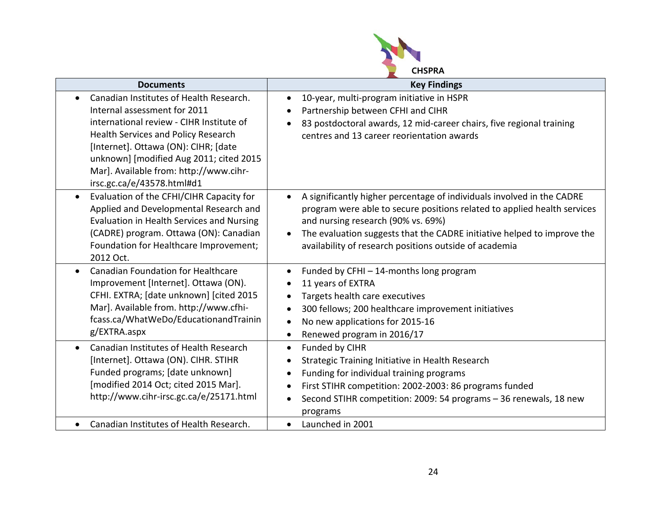

| <b>Documents</b>                                      | <b>Key Findings</b>                                                                  |
|-------------------------------------------------------|--------------------------------------------------------------------------------------|
| Canadian Institutes of Health Research.               | 10-year, multi-program initiative in HSPR<br>$\bullet$                               |
| Internal assessment for 2011                          | Partnership between CFHI and CIHR                                                    |
| international review - CIHR Institute of              | 83 postdoctoral awards, 12 mid-career chairs, five regional training                 |
| Health Services and Policy Research                   | centres and 13 career reorientation awards                                           |
| [Internet]. Ottawa (ON): CIHR; [date                  |                                                                                      |
| unknown] [modified Aug 2011; cited 2015               |                                                                                      |
| Mar]. Available from: http://www.cihr-                |                                                                                      |
| irsc.gc.ca/e/43578.html#d1                            |                                                                                      |
| Evaluation of the CFHI/CIHR Capacity for<br>$\bullet$ | A significantly higher percentage of individuals involved in the CADRE<br>$\bullet$  |
| Applied and Developmental Research and                | program were able to secure positions related to applied health services             |
| Evaluation in Health Services and Nursing             | and nursing research (90% vs. 69%)                                                   |
| (CADRE) program. Ottawa (ON): Canadian                | The evaluation suggests that the CADRE initiative helped to improve the<br>$\bullet$ |
| Foundation for Healthcare Improvement;                | availability of research positions outside of academia                               |
| 2012 Oct.                                             |                                                                                      |
| <b>Canadian Foundation for Healthcare</b>             | Funded by CFHI - 14-months long program<br>$\bullet$                                 |
| Improvement [Internet]. Ottawa (ON).                  | 11 years of EXTRA                                                                    |
| CFHI. EXTRA; [date unknown] [cited 2015               | Targets health care executives<br>$\bullet$                                          |
| Mar]. Available from. http://www.cfhi-                | 300 fellows; 200 healthcare improvement initiatives<br>$\bullet$                     |
| fcass.ca/WhatWeDo/EducationandTrainin                 | No new applications for 2015-16<br>$\bullet$                                         |
| g/EXTRA.aspx                                          | Renewed program in 2016/17<br>$\bullet$                                              |
| Canadian Institutes of Health Research<br>$\bullet$   | Funded by CIHR<br>$\bullet$                                                          |
| [Internet]. Ottawa (ON). CIHR. STIHR                  | Strategic Training Initiative in Health Research<br>$\bullet$                        |
| Funded programs; [date unknown]                       | Funding for individual training programs<br>$\bullet$                                |
| [modified 2014 Oct; cited 2015 Mar].                  | First STIHR competition: 2002-2003: 86 programs funded<br>$\bullet$                  |
| http://www.cihr-irsc.gc.ca/e/25171.html               | Second STIHR competition: 2009: 54 programs - 36 renewals, 18 new<br>$\bullet$       |
|                                                       | programs                                                                             |
| Canadian Institutes of Health Research.               | Launched in 2001<br>$\bullet$                                                        |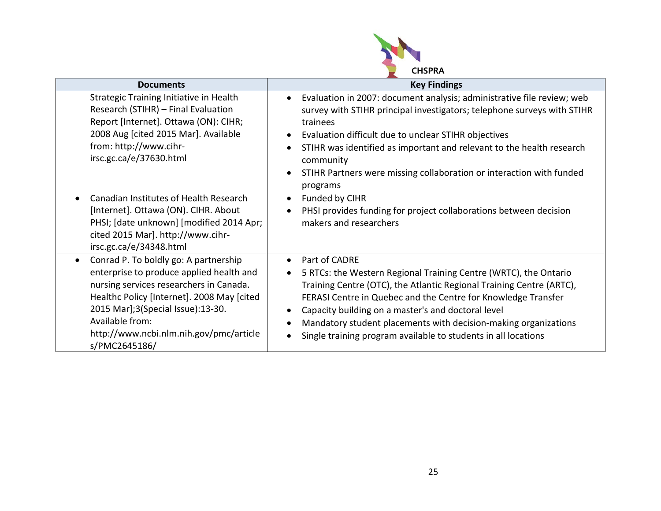

| <b>Documents</b>                                                                                                                                                                                                                                                                               | <b>Key Findings</b>                                                                                                                                                                                                                                                                                                                                                                                                                                          |
|------------------------------------------------------------------------------------------------------------------------------------------------------------------------------------------------------------------------------------------------------------------------------------------------|--------------------------------------------------------------------------------------------------------------------------------------------------------------------------------------------------------------------------------------------------------------------------------------------------------------------------------------------------------------------------------------------------------------------------------------------------------------|
| Strategic Training Initiative in Health<br>Research (STIHR) - Final Evaluation<br>Report [Internet]. Ottawa (ON): CIHR;<br>2008 Aug [cited 2015 Mar]. Available<br>from: http://www.cihr-<br>irsc.gc.ca/e/37630.html                                                                           | Evaluation in 2007: document analysis; administrative file review; web<br>$\bullet$<br>survey with STIHR principal investigators; telephone surveys with STIHR<br>trainees<br>Evaluation difficult due to unclear STIHR objectives<br>STIHR was identified as important and relevant to the health research<br>community<br>STIHR Partners were missing collaboration or interaction with funded<br>$\bullet$<br>programs                                    |
| Canadian Institutes of Health Research<br>[Internet]. Ottawa (ON). CIHR. About<br>PHSI; [date unknown] [modified 2014 Apr;<br>cited 2015 Mar]. http://www.cihr-<br>irsc.gc.ca/e/34348.html                                                                                                     | Funded by CIHR<br>PHSI provides funding for project collaborations between decision<br>makers and researchers                                                                                                                                                                                                                                                                                                                                                |
| Conrad P. To boldly go: A partnership<br>enterprise to produce applied health and<br>nursing services researchers in Canada.<br>Healthc Policy [Internet]. 2008 May [cited<br>2015 Mar];3(Special Issue):13-30.<br>Available from:<br>http://www.ncbi.nlm.nih.gov/pmc/article<br>s/PMC2645186/ | Part of CADRE<br>$\bullet$<br>5 RTCs: the Western Regional Training Centre (WRTC), the Ontario<br>$\bullet$<br>Training Centre (OTC), the Atlantic Regional Training Centre (ARTC),<br>FERASI Centre in Quebec and the Centre for Knowledge Transfer<br>Capacity building on a master's and doctoral level<br>Mandatory student placements with decision-making organizations<br>Single training program available to students in all locations<br>$\bullet$ |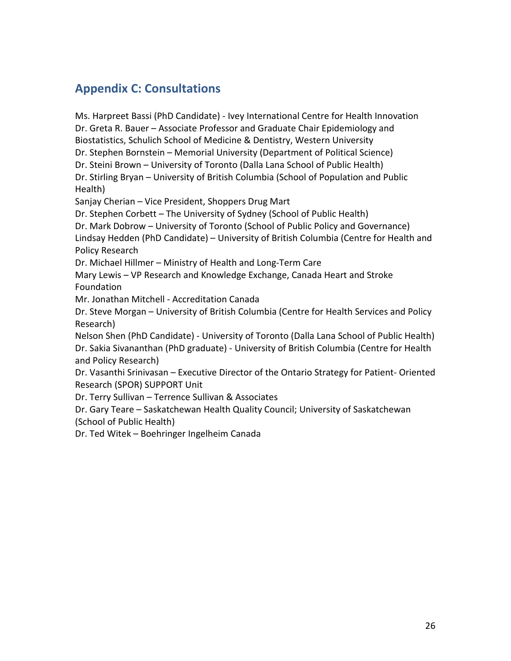# **Appendix C: Consultations**

Ms. Harpreet Bassi (PhD Candidate) - Ivey International Centre for Health Innovation Dr. Greta R. Bauer – Associate Professor and Graduate Chair Epidemiology and Biostatistics, Schulich School of Medicine & Dentistry, Western University Dr. Stephen Bornstein – Memorial University (Department of Political Science) Dr. Steini Brown – University of Toronto (Dalla Lana School of Public Health) Dr. Stirling Bryan – University of British Columbia (School of Population and Public Health) Sanjay Cherian – Vice President, Shoppers Drug Mart Dr. Stephen Corbett – The University of Sydney (School of Public Health) Dr. Mark Dobrow – University of Toronto (School of Public Policy and Governance) Lindsay Hedden (PhD Candidate) – University of British Columbia (Centre for Health and Policy Research Dr. Michael Hillmer – Ministry of Health and Long-Term Care Mary Lewis – VP Research and Knowledge Exchange, Canada Heart and Stroke Foundation Mr. Jonathan Mitchell - Accreditation Canada Dr. Steve Morgan – University of British Columbia (Centre for Health Services and Policy Research) Nelson Shen (PhD Candidate) - University of Toronto (Dalla Lana School of Public Health) Dr. Sakia Sivananthan (PhD graduate) - University of British Columbia (Centre for Health and Policy Research)

Dr. Vasanthi Srinivasan – Executive Director of the Ontario Strategy for Patient- Oriented Research (SPOR) SUPPORT Unit

Dr. Terry Sullivan – Terrence Sullivan & Associates

Dr. Gary Teare – Saskatchewan Health Quality Council; University of Saskatchewan (School of Public Health)

Dr. Ted Witek – Boehringer Ingelheim Canada